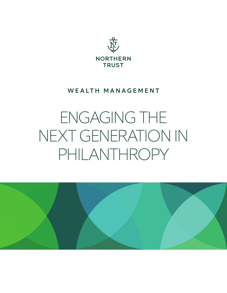

# WEALTH MANAGEMENT

# ENGAGING THE NEXT GENERATION IN PHILANTHROPY

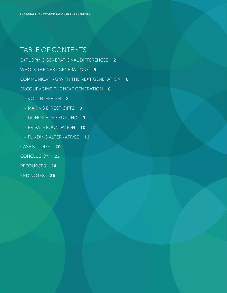# TABLE OF CONTENTS

EXPLORING GENERATIONAL DIFFERENCES 2 WHO IS THE NEXT GENERATION? 5 COMMUNICATING WITH THE NEXT GENERATION 6 ENCOURAGING THE NEXT GENERATION 8

- VOLUNTEERISM 8
- MAKING DIRECT GIFTS 8
- DONOR ADVISED FUND 9
- PRIVATE FOUNDATION 10
- FUNDING ALTERNATIVES 13
- CASE STUDIES 20
- CONCLUSION 23
- RESOURCES 24
- END NOTES 26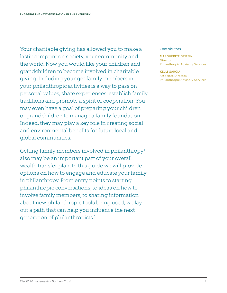Your charitable giving has allowed you to make a lasting imprint on society, your community and the world. Now you would like your children and grandchildren to become involved in charitable giving. Including younger family members in your philanthropic activities is a way to pass on personal values, share experiences, establish family traditions and promote a spirit of cooperation. You may even have a goal of preparing your children or grandchildren to manage a family foundation. Indeed, they may play a key role in creating social and environmental benefits for future local and global communities.

Getting family members involved in philanthropy<sup>1</sup> also may be an important part of your overall wealth transfer plan. In this guide we will provide options on how to engage and educate your family in philanthropy. From entry points to starting philanthropic conversations, to ideas on how to involve family members, to sharing information about new philanthropic tools being used, we lay out a path that can help you influence the next generation of philanthropists.2

# **Contributors**

MARGUERITE GRIFFIN Director, Philanthropic Advisory Services

KELLI GARCIA Associate Director, Philanthropic Advisory Services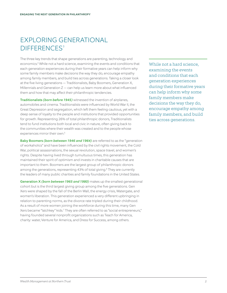# EXPLORING GENERATIONAL DIFFERENCES<sup>3</sup>

The three key trends that shape generations are parenting, technology and economics.4 While not a hard science, examining the events and conditions that each generation experiences during their formative years can help inform why some family members make decisions the way they do, encourage empathy among family members, and build ties across generations. Taking a closer look at the five living generations — Traditionalists, Baby Boomers, Generation X, Millennials and Generation Z — can help us learn more about what influenced them and how that may affect their philanthropic tendencies.

Traditionalists *(born before 1945)* witnessed the invention of airplanes, automobiles and cinema. Traditionalists were influenced by World War II, the Great Depression and segregation, which left them feeling cautious, yet with a deep sense of loyalty to the people and institutions that provided opportunities for growth. Representing 26% of total philanthropic donors, Traditionalists tend to fund institutions both local and civic in nature, often giving back to the communities where their wealth was created and to the people whose experiences mirror their own.<sup>5</sup>

Baby Boomers *(born between 1946 and 1964)* are referred to as the "generation of workaholics" and have been influenced by the civil rights movement, the Cold War, political assassinations, the sexual revolution, space travel, and women's rights. Despite having lived through tumultuous times, this generation has maintained their spirit of optimism and invests in charitable causes that are important to them. Boomers are the largest group of philanthropic donors among the generations, representing 43% of total giving.<sup>6</sup> They are currently the leaders of many public charities and family foundations in the United States.

Generation X *(born between 1965 and 1980)* makes up the smallest generational cohort but is the third largest giving group among the five generations. Gen Xers were shaped by the fall of the Berlin Wall, the energy crisis, Watergate, and women's liberation. This generation experienced a very different upbringing in relation to parenting norms, as the divorce rate tripled during their childhood. As a result of more women joining the workforce during this time, many Gen Xers became "latchkey" kids.<sup>7</sup> They are often referred to as "social entrepreneurs," having founded several nonprofit organizations such as Teach for America, charity: water, Venture for America, and Dress for Success, among others.

While not a hard science, examining the events and conditions that each generation experiences during their formative years can help inform why some family members make decisions the way they do, encourage empathy among family members, and build ties across generations.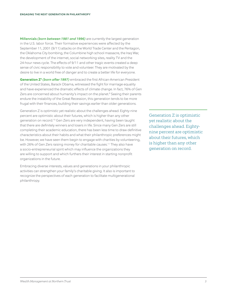Millennials *(born between 1981 and 1996)* are currently the largest generation in the U.S. labor force. Their formative experiences were affected by the September 11, 2001 (9/11) attacks on the World Trade Center and the Pentagon, the Oklahoma City bombing, the Columbine high school massacre, the Iraq War, the development of the internet, social networking sites, reality TV and the 24-hour news cycle. The effects of 9/11 and other tragic events created a deep sense of civic responsibility to vote and volunteer. They are motivated by the desire to live in a world free of danger and to create a better life for everyone.

**Generation Z**<sup>8</sup> *(born after 1997)* embraced the first African-American President of the United States, Barack Obama, witnessed the fight for marriage equality and have experienced the dramatic effects of climate change. In fact, 76% of Gen Zers are concerned about humanity's impact on the planet.<sup>9</sup> Seeing their parents endure the instability of the Great Recession, this generation tends to be more frugal with their finances, building their savings earlier than older generations.

Generation Z is optimistic yet realistic about the challenges ahead. Eighty-nine percent are optimistic about their futures, which is higher than any other generation on record.10 Gen Zers are very independent, having been taught that there are definitely winners and losers in life. Since many Gen Zers are still completing their academic education, there has been less time to draw definitive characteristics about their habits and what their philanthropic preferences might be. However, we have seen them begin to engage with charities by volunteering, with 26% of Gen Zers raising money for charitable causes.<sup>11</sup> They also have a socio-entrepreneurial spirit which may influence the organizations they are willing to support and which furthers their interest in starting nonprofit organizations in the future.

Embracing diverse interests, values and generations in your philanthropic activities can strengthen your family's charitable giving. It also is important to recognize the perspectives of each generation to facilitate multigenerational philanthropy.

Generation Z is optimistic yet realistic about the challenges ahead. Eightynine percent are optimistic about their futures, which is higher than any other generation on record.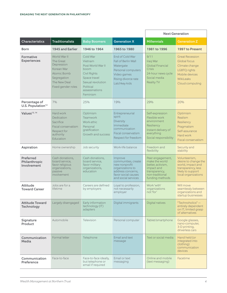|                                                |                                                                                                                           |                                                                                                                                                  |                                                                                                                                         | <b>Next Generation</b>                                                                                                       |                                                                                                                                   |  |
|------------------------------------------------|---------------------------------------------------------------------------------------------------------------------------|--------------------------------------------------------------------------------------------------------------------------------------------------|-----------------------------------------------------------------------------------------------------------------------------------------|------------------------------------------------------------------------------------------------------------------------------|-----------------------------------------------------------------------------------------------------------------------------------|--|
| Characteristics                                | <b>Traditionalists</b>                                                                                                    | <b>Baby Boomers</b>                                                                                                                              | <b>Generation X</b>                                                                                                                     | <b>Millennials</b>                                                                                                           | <b>Generation Z</b>                                                                                                               |  |
| <b>Born</b>                                    | 1945 and Earlier                                                                                                          | 1946 to 1964                                                                                                                                     | 1965 to 1980                                                                                                                            | 1981 to 1996                                                                                                                 | 1997 to Present                                                                                                                   |  |
| Formative<br><b>Experiences</b>                | World War II<br>The Great<br>Depression<br>Korean War<br>Atomic Bomb<br>Segregation<br>The New Deal<br>Fixed gender roles | Cold War<br>Vietnam<br>Post World War II<br>boom<br>Civil Rights<br>Space travel<br>Sexual revolution<br>Political<br>assassinations<br>Feminism | End of Cold War<br><b>Fall of Berlin Wall</b><br>Watergate<br>Personal computers<br>Video games<br>Rising divorce rate<br>Latchkey kids | 9/11<br>Iraq War<br><b>Global Financial</b><br><b>Crisis</b><br>24-hour news cycle<br>Social media<br><b>Reality TV</b>      | <b>Great Recession</b><br>Global focus<br>Climate change<br>LGBTQ rights<br>Mobile devices<br><b>WikiLeaks</b><br>Cloud computing |  |
| Percentage of<br>U.S. Population <sup>12</sup> | 7%                                                                                                                        | 25%                                                                                                                                              | 19%                                                                                                                                     | 29%                                                                                                                          | 20%                                                                                                                               |  |
| Values <sup>13, 14</sup>                       | Hard work<br>Dedication<br>Sacrifice<br>Fiscal conservatism<br>Respect for<br>authority<br>Education                      | Optimism<br>Teamwork<br>Work ethic<br>Personal<br>gratification<br>Growth and success                                                            | Entrepreneurial<br>spirit<br><b>Diversity</b><br>Immediate<br>communication<br>Fiscal conservatism<br>Respect for freedom               | Self-expression<br>Flexible work<br>environment<br>Resiliency<br>Instant delivery of<br>everything<br>Social responsibility  | Optimism<br>Realism<br>Resiliency<br>Pragmatism<br>Self-assurance<br>Hard work<br><b>Fiscal conservatism</b>                      |  |
| Aspiration                                     | Home ownership                                                                                                            | Job security                                                                                                                                     | Work-life balance                                                                                                                       | Freedom and<br>flexibility                                                                                                   | Security and<br>stability                                                                                                         |  |
| Preferred<br>Philanthropic<br>Involvement      | Cash donations,<br>board service,<br>favor religious<br>organizations,<br>passive<br><i>involvement</i>                   | Cash donations,<br>board service,<br>favor military<br>organizations,<br>education                                                               | Improve<br>communities, create<br>new nonprofit<br>organizations to<br>address concerns,<br>favor social causes<br>and social services  | Peer engagement,<br>make the world<br>better, activism,<br>impact and<br>transparency,<br>non-traditional<br>funding methods | Volunteerism,<br>desire to change the<br>world, impact and<br>transparency, less<br>likely to support<br>local organizations      |  |
| Attitude<br><b>Toward Career</b>               | Jobs are for a<br>lifetime                                                                                                | Careers are defined<br>by employers                                                                                                              | Loyal to profession,<br>not necessarily<br>employer                                                                                     | Work 'with'<br>organizations<br>not 'for'                                                                                    | Will move<br>seamlessly between<br>organizations and<br>startup businesses                                                        |  |
| <b>Attitude Toward</b><br>Technology           | Largely disengaged                                                                                                        | Early information<br>technology (IT)<br>adapters                                                                                                 | Digital immigrants                                                                                                                      | Digital natives                                                                                                              | "Technoholics" $-$<br>entirely dependent<br>on IT; limited grasp<br>of alternatives                                               |  |
| Signature<br>Product                           | Automobile                                                                                                                | Television                                                                                                                                       | Personal computer                                                                                                                       | Tablet/smartphone                                                                                                            | Google glasses,<br>nano-computer,<br>3-D printing,<br>driverless cars                                                             |  |
| Communication<br>Media                         | Formal letter                                                                                                             | Telephone                                                                                                                                        | Email and text<br>message                                                                                                               | Text or social media                                                                                                         | Hand held (or<br>integrated into<br>clothing)<br>communication<br>devices                                                         |  |
| Communication<br>Preference                    | Face-to-face                                                                                                              | Face-to-face ideally,<br>but telephone or<br>email if required                                                                                   | Email or text<br>messaging                                                                                                              | Online and mobile<br>(text messaging)                                                                                        | Facetime                                                                                                                          |  |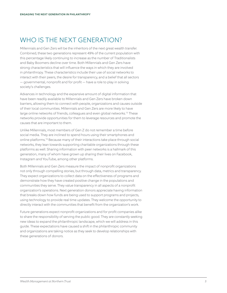# WHO IS THE NEXT GENERATION?

Millennials and Gen Zers will be the inheritors of the next great wealth transfer. Combined, these two generations represent 49% of the current population with this percentage likely continuing to increase as the number of Traditionalists and Baby Boomers decline over time. Both Millennials and Gen Zers have strong characteristics that will influence the ways in which they are involved in philanthropy. These characteristics include their use of social networks to interact with their peers, the desire for transparency, and a belief that all sectors — governmental, nonprofit and for profit — have a role to play in solving society's challenges.

Advances in technology and the expansive amount of digital information that have been readily available to Millennials and Gen Zers have broken down barriers, allowing them to connect with people, organizations and causes outside of their local communities. Millennials and Gen Zers are more likely to have large online networks of friends, colleagues and even global networks.<sup>15</sup> These networks provide opportunities for them to leverage resources and promote the causes that are important to them.

Unlike Millennials, most members of Gen Z do not remember a time before social media. They are inclined to spend hours using their smartphones and online platforms.16 Because many of their interactions take place through social networks, they lean towards supporting charitable organizations through these platforms as well. Sharing information with peer networks is a hallmark of this generation, many of whom have grown up sharing their lives on Facebook, Instagram and YouTube, among other platforms.

Both Millennials and Gen Zers measure the impact of nonprofit organizations not only through compelling stories, but through data, metrics and transparency. They expect organizations to collect data on the effectiveness of programs and demonstrate how they have created positive change in the populations and communities they serve. They value transparency in all aspects of a nonprofit organization's operations. Next generation donors appreciate having information that breaks down how funds are being used to support programs and projects, using technology to provide real time updates. They welcome the opportunity to directly interact with the communities that benefit from the organization's work.

Future generations expect nonprofit organizations and for profit companies alike to share the responsibility of serving the public good. They are constantly seeking new ideas to expand the philanthropic landscape, which we will address in this guide. These expectations have caused a shift in the philanthropic community and organizations are taking notice as they seek to develop relationships with these generations of donors.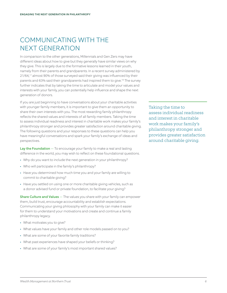# COMMUNICATING WITH THE NEXT GENERATION

In comparison to the other generations, Millennials and Gen Zers may have different ideas about how to give but they generally have similar views on why they give. This is largely due to the formative lessons learned in their youth, namely from their parents and grandparents. In a recent survey administered by 21/64,17 almost 90% of those surveyed said their giving was influenced by their parents and 63% said their grandparents had inspired them to give.<sup>18</sup> The survey further indicates that by taking the time to articulate and model your values and interests with your family, you can potentially help influence and shape the next generation of donors.

If you are just beginning to have conversations about your charitable activities with younger family members, it is important to give them an opportunity to share their own interests with you. The most rewarding family philanthropy reflects the shared values and interests of all family members. Taking the time to assess individual readiness and interest in charitable work makes your family's philanthropy stronger and provides greater satisfaction around charitable giving. The following questions and your responses to these questions can help you have meaningful conversations and spark your family's exchange of ideas and perspectives.

Lay the Foundation  $-$  To encourage your family to make a real and lasting difference in the world, you may wish to reflect on these foundational questions.

- Why do you want to include the next generation in your philanthropy?
- Who will participate in the family's philanthropy?
- Have you determined how much time you and your family are willing to commit to charitable giving?
- Have you settled on using one or more charitable giving vehicles, such as a donor advised fund or private foundation, to facilitate your giving?

Share Culture and Values - The values you share with your family can empower them, build trust, encourage accountability and establish expectations. Communicating your giving philosophy with your family can make it easier for them to understand your motivations and create and continue a family philanthropy legacy.

- What motivates you to give?
- What values have your family and other role models passed on to you?
- What are some of your favorite family traditions?
- What past experiences have shaped your beliefs or thinking?
- What are some of your family's most important shared values?

Taking the time to assess individual readiness and interest in charitable work makes your family's philanthropy stronger and provides greater satisfaction around charitable giving.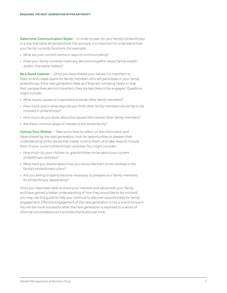**Determine Communication Styles** - In order to plan for your family's philanthropy in a way that takes all perspectives into account, it is important to understand how your family currently functions. For example:

- What are your current norms or ways of communicating?
- Does your family currently make any decisions together about family wealth and/or charitable matters?

Be a Good Listener – Once you have shared your values it is important to listen to and create space for family members who will participate in your family philanthropy. If the next generation feels as if they are not being heard or that their perspectives are not important, they are less likely to be engaged. Questions might include:

- What issues, causes or organizations excite other family members?
- How much and in what ways do you think other family members would like to be involved in philanthropy?
- How much do you know about the causes that interest other family members?
- Are there common areas of interest to the whole family?

Convey Your Wishes — Take some time to reflect on the information and ideas shared by the next generation, look for opportunities to deepen their understanding of the issues that matter most to them, and take steps to include them in your current philanthropic activities. You might consider:

- How much do your children or grandchildren know about your current philanthropic activities?
- What have you shared about how you would like them to be involved in the family's philanthropic plans?
- Are you willing to spend the time necessary to prepare your family members for philanthropic stewardship?

Once you have been able to share your interests and values with your family and have gained a better understanding of how they would like to be involved, you may use this guide to help you continue to discover opportunities for family engagement. Effective engagement of the next generation is not a one-time event. You will be more successful when the next generation is exposed to a series of informal conversations and activities that build over time.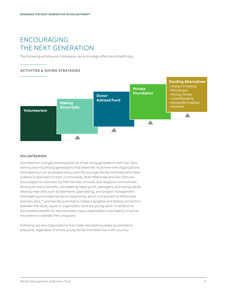# ENCOURAGING THE NEXT GENERATION

The following activities and strategies can encourage effective philanthropy:

# ACTIVITIES & GIVING STRATEGIES



#### VOLUNTEERISM

Volunteerism is largely embraced by all of the living generations with Gen Zers ranking second among generations that share the most time with organizations. Volunteering is an accessible entry point for younger family members who have a desire to give back to their communities. Both Millennials and Gen Zers are encouraged to volunteer by their families, schools, and religious communities. Among its many benefits, volunteering helps youth, teenagers, and young adults develop new skills such as teamwork, goal setting, and project management. Volunteering provides hands-on experience, which is important to Millennials and Gen Zers,<sup>19</sup> and has the potential to create a tangible and lasting connection between the issue, cause or organization and the young adult. In addition to the positive benefits for the volunteer, many organizations rely heavily on active volunteers to operate their programs.

Following are two organizations that make volunteering easily accessible to everyone, regardless of where young family members live in the country: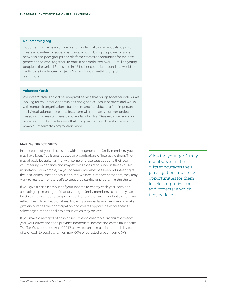### DoSomething.org

DoSomething.org is an online platform which allows individuals to join or create a volunteer or social change campaign. Using the power of social networks and peer groups, the platform creates opportunities for the next generation to work together. To date, it has mobilized over 5.5 million young people in the United States and in 131 other countries around the world to participate in volunteer projects. Visit www.dosomething.org to learn more.

# VolunteerMatch

VolunteerMatch is an online, nonprofit service that brings together individuals looking for volunteer opportunities and good causes. It partners and works with nonprofit organizations, businesses and individuals to find in-person and virtual volunteer projects. Its system will populate volunteer projects based on city, area of interest and availability. This 20-year-old organization has a community of volunteers that has grown to over 13 million users. Visit www.volunteermatch.org to learn more.

## MAKING DIRECT GIFTS

In the course of your discussions with next generation family members, you may have identified issues, causes or organizations of interest to them. They may already be quite familiar with some of these causes due to their own volunteering experience and may express a desire to support these causes monetarily. For example, if a young family member has been volunteering at the local animal shelter because animal welfare is important to them, they may want to make a monetary gift to support a particular program at the shelter.

If you give a certain amount of your income to charity each year, consider allocating a percentage of that to younger family members so that they can begin to make gifts and support organizations that are important to them and reflect their philanthropic values. Allowing younger family members to make gifts encourages their participation and creates opportunities for them to select organizations and projects in which they believe.

If you make direct gifts of cash or securities to charitable organizations each year, your direct donation provides immediate income and estate tax benefits. The Tax Cuts and Jobs Act of 2017 allows for an increase in deductibility for gifts of cash to public charities, now 60% of adjusted gross income (AGI).

Allowing younger family members to make gifts encourages their participation and creates opportunities for them to select organizations and projects in which they believe.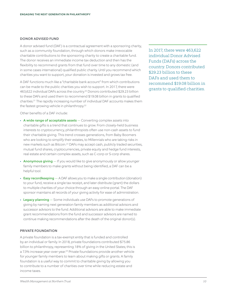# DONOR ADVISED FUND

A donor advised fund (DAF) is a contractual agreement with a sponsoring charity, such as a community foundation, through which donors make irrevocable charitable contributions to the sponsoring charity to create a charitable fund. The donor receives an immediate income tax deduction and then has the flexibility to recommend grants from that fund over time to any domestic (and in some cases international) qualified public charity. Until you recommend which charities you want to support, your donation is invested and grows tax free.

A DAF functions much like a "charitable bank account" from which contributions can be made to the public charities you wish to support. In 2017, there were 463,622 individual DAFs across the country.20 Donors contributed \$29.23 billion to these DAFs and used them to recommend \$19.08 billion in grants to qualified charities.21 The rapidly increasing number of individual DAF accounts makes them the fastest growing vehicle in philanthropy.<sup>22</sup>

Other benefits of a DAF include:

- A wide range of acceptable assets Converting complex assets into charitable gifts is a trend that continues to grow. From closely-held business interests to cryptocurrency, philanthropists often use non-cash assets to fund their charitable giving. This trend crosses generations, from Baby Boomers who are looking to simplify their estates, to Millennials who are taking risks in new markets such as Bitcoin.<sup>23</sup> DAFs may accept cash, publicly traded securities, mutual fund shares, cryptocurrencies, private equity and hedge fund interests, real estate and certain complex assets, such as C-corp or S-corp shares.
- Anonymous giving If you would like to give anonymously or allow younger family members to make grants without being identified, a DAF can be a helpful tool.
- Easy record keeping  $-$  A DAF allows you to make a single contribution (donation) to your fund, receive a single tax receipt, and later distribute (grant) the dollars to multiple charities of your choice through an easy online portal. The DAF sponsor maintains all records of your giving activity for ease of administration.
- Legacy planning Some individuals use DAFs to promote generations of giving by naming next generation family members as additional advisors and successor advisors to the fund. Additional advisors are able to make immediate grant recommendations from the fund and successor advisors are named to continue making recommendations after the death of the original donor(s).

### PRIVATE FOUNDATION

A private foundation is a tax-exempt entity that is funded and controlled by an individual or family. In 2018, private foundations contributed \$75.86 billion to philanthropy, representing 18% of giving in the United States; this is a 7.3% increase year-over-year.<sup>24</sup> Private foundations provide another vehicle for younger family members to learn about making gifts or grants. A family foundation is a useful way to commit to charitable giving by allowing you to contribute to a number of charities over time while reducing estate and income taxes.

In 2017, there were 463,622 individual Donor Advised Funds (DAFs) across the country. Donors contributed \$29.23 billion to these DAFs and used them to recommend \$19.08 billion in grants to qualified charities.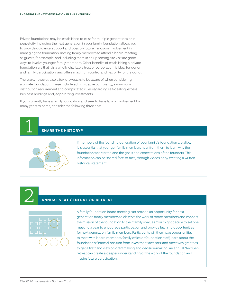Private foundations may be established to exist for multiple generations or in perpetuity. Including the next generation in your family foundation allows you to provide guidance, support and possibly future hands-on involvement in managing the foundation. Inviting family members to attend a board meeting as guests, for example, and including them in an upcoming site visit are good ways to involve younger family members. Other benefits of establishing a private foundation are that it is a wholly charitable trust or corporation, is ideal for donor and family participation, and offers maximum control and flexibility for the donor.

There are, however, also a few drawbacks to be aware of when considering a private foundation. These include administrative complexity, a minimum distribution requirement and complicated rules regarding self-dealing, excess business holdings and jeopardizing investments.

If you currently have a family foundation and seek to have family involvement for many years to come, consider the following three tips:

# SHARE THE HISTORY<sup>25</sup>



2

1

If members of the founding generation of your family's foundation are alive, it is essential that younger family members hear from them to learn why the foundation was started and the goals and expectations of the founders. This information can be shared face-to-face, through videos or by creating a written historical statement.

# ANNUAL NEXT GENERATION RETREAT

A family foundation board meeting can provide an opportunity for next generation family members to observe the work of board members and connect the mission of the foundation to their family's values. You might decide to set one meeting a year to encourage participation and provide learning opportunities for next generation family members. Participants will then have opportunities to meet with board members, family office or foundation staff; learn about the foundation's financial position from investment advisors; and meet with grantees to get a firsthand view on grantmaking and decision-making. An annual Next Gen retreat can create a deeper understanding of the work of the foundation and inspire future participation.

 $\Box$   $\Box$   $\Box$ 0000 Ú C 0000Č  $\Box$   $\Box$   $\Box$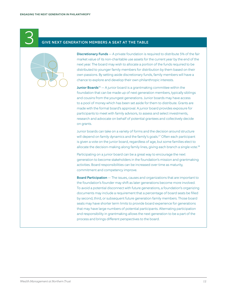

# GIVE NEXT GENERATION MEMBERS A SEAT AT THE TABLE



**Discretionary Funds** — A private foundation is required to distribute 5% of the fair market value of its non-charitable use assets for the current year by the end of the next year. The board may wish to allocate a portion of the funds required to be distributed to younger family members for distribution by them based on their own passions. By setting aside discretionary funds, family members will have a chance to explore and develop their own philanthropic interests.

**Junior Boards**<sup>26</sup>  $-$  A junior board is a grantmaking committee within the foundation that can be made up of next generation members, typically siblings and cousins from the youngest generations. Junior boards may have access to a pool of money which has been set aside for them to distribute. Grants are made with the formal board's approval. A junior board provides exposure for participants to meet with family advisors, to assess and select investments, research and advocate on behalf of potential grantees and collectively decide on grants.

Junior boards can take on a variety of forms and the decision around structure will depend on family dynamics and the family's goals.<sup>27</sup> Often each participant is given a vote on the junior board, regardless of age, but some families elect to allocate the decision-making along family lines, giving each branch a single vote.<sup>28</sup>

Participating on a junior board can be a great way to encourage the next generation to become stakeholders in the foundation's mission and grantmaking activities. Board responsibilities can be increased over time as maturity, commitment and competency improve.

Board Participation — The issues, causes and organizations that are important to the foundation's founder may shift as later generations become more involved. To avoid a potential disconnect with future generations, a foundation's organizing documents may include a requirement that a percentage of board seats be filled by second, third, or subsequent future generation family members. Those board seats may have shorter term limits to provide board experience for generations that may have large numbers of potential participants. Alternating participation and responsibility in grantmaking allows the next generation to be a part of the process and brings different perspectives to the board.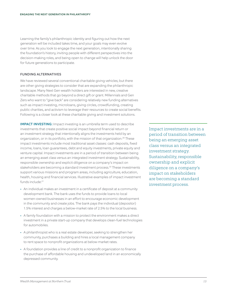Learning the family's philanthropic identity and figuring out how the next generation will be included takes time, and your goals may even evolve over time. As you look to engage the next generation, intentionally sharing the foundation's history, inviting people with different perspectives into the decision-making roles, and being open to change will help unlock the door for future generations to participate.

### FUNDING ALTERNATIVES

We have reviewed several conventional charitable giving vehicles; but there are other giving strategies to consider that are expanding the philanthropic landscape. Many Next Gen wealth holders are interested in new, creative charitable methods that go beyond a direct gift or grant. Millennials and Gen Zers who want to "give back" are considering relatively new funding alternatives such as impact investing, microloans, giving circles, crowdfunding, creating public charities, and activism to leverage their resources to create social benefits. Following is a closer look at these charitable giving and investment solutions.

IMPACT INVESTING: Impact investing is an umbrella term used to describe investments that create positive social impact beyond financial return or an investment strategy that intentionally aligns the investments held by an organization, or in its portfolio, with the mission of that organization.29 These impact investments include most traditional asset classes: cash deposits, fixed income, loans, loan guarantees, debt and equity investments, private equity and venture capital. Impact investments are in a period of transition between being an emerging asset class versus an integrated investment strategy. Sustainability, responsible ownership and explicit diligence on a company's impact on stakeholders are becoming a standard investment process.<sup>30</sup> These investments support various missions and program areas, including agriculture, education, health, housing and financial services. Illustrative examples of impact investment funds include:31

- An individual makes an investment in a certificate of deposit at a community development bank. The bank uses the funds to provide loans to local women-owned businesses in an effort to encourage economic development in the community and create jobs. The bank pays the individual (depositor) 1.5% interest and charges a below-market rate of 2.5% to the local business.
- A family foundation with a mission to protect the environment makes a direct investment in a private start-up company that develops clean-fuel technologies for automobiles.
- A philanthropist who is a real estate developer, seeking to strengthen her community, purchases a building and hires a local management company to rent space to nonprofit organizations at below-market rates.
- A foundation provides a line of credit to a nonprofit organization to finance the purchase of affordable housing and undeveloped land in an economically depressed community.

Impact investments are in a period of transition between being an emerging asset class versus an integrated investment strategy. Sustainability, responsible ownership and explicit diligence on a company's impact on stakeholders are becoming a standard investment process.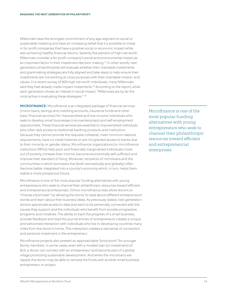Millennials have the strongest commitment of any age segment to social or sustainable investing and have an increasing belief that it is possible to invest in for profit companies that have a positive social or economic impact while also achieving healthy financial returns. Seventy-five percent of high-net-worth Millennials consider a for profit company's social and environmental impact as an important factor in their investment decision making.<sup>32</sup> In other words, next generation philanthropists will evaluate whether their charitable investments and grantmaking strategies are fully aligned and take steps to help ensure their investments are not working at cross-purposes with their charitable mission and values. In a recent survey of 800 high net worth individuals, many Millennials said they had already made impact investments.<sup>33</sup> According to the report, while each generation shows an interest in social impact, "Millennials are by far the most active in evaluating these strategies." 34

MICROFINANCE: Microfinance is an integrated package of financial services (micro-loans, savings and checking accounts, insurance funds and other basic financial services) for impoverished and low-income individuals who seek to develop small businesses (microenterprises) and self-employment opportunities. These financial services are essential to impoverished individuals who often lack access to traditional banking products and institutions because they cannot provide the requisite collateral, meet minimum deposit requirements, have no credit histories or are not granted access to banks due to their minority or gender status. Microfinance organizations (or microfinance institutions (MFIs)) help poor and financially marginalized individuals move out of poverty, increase their income, become economically self-sufficient and improve their standard of living. Moreover, recipients of microloans and the communities in which borrowers live (both domestically and globally) often become better integrated into a country's economy which, in turn, helps them realize a more prosperous future.

Microfinance is one of the most popular funding alternatives with young entrepreneurs who seek to channel their philanthropic resources toward efficient and entrepreneurial enterprises. Online microfinance sites allow donors to "choose a borrower" by allowing the donor to read about different entrepreneurs' stories and learn about their business ideas. As previously stated, next generation donors appreciate access to data and want to be personally connected with the causes they support and the individuals who benefit from socially-progressive programs and initiatives. The ability to track the progress of a small business, provide feedback and read the journal entries of entrepreneurs creates a unique and welcomed interaction with individuals who live in developing countries many miles from the donor's home. This interaction creates a real sense of connection and personal investment in the entrepreneur.

Microfinance projects also present an approachable "price point" for younger family members. In some cases, even with a modest loan (or investment) of \$25, a donor can connect with an entrepreneur and become part of a global village promoting sustainable development. And when the microloans are repaid, the donor may be able to reinvest the funds with another small business entrepreneur or project.

Microfinance is one of the most popular funding alternatives with young entrepreneurs who seek to channel their philanthropic resources toward efficient and entrepreneurial enterprises.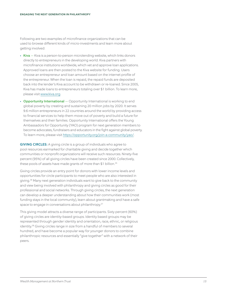Following are two examples of microfinance organizations that can be used to browse different kinds of micro-investments and learn more about getting involved:

- Kiva Kiva is a person-to-person microlending website, which links donors directly to entrepreneurs in the developing world. Kiva partners with microfinance institutions worldwide, which vet and approve loan applications. Approved loans are then posted to the Kiva website for funding. Users choose an entrepreneur and loan amount based on the internet profile of the entrepreneur. When the loan is repaid, the repaid funds are deposited back into the lender's Kiva account to be withdrawn or re-loaned. Since 2005, Kiva has made loans to entrepreneurs totaling over \$1 billion. To learn more, please visit www.kiva.org.
- Opportunity International Opportunity International is working to end global poverty by creating and sustaining 20 million jobs by 2020. It serves 9.6 million entrepreneurs in 22 countries around the world by providing access to financial services to help them move out of poverty and build a future for themselves and their families. Opportunity International offers the Young Ambassadors for Opportunity (YAO) program for next generation members to become advocates, fundraisers and educators in the fight against global poverty. To learn more, please visit https://opportunity.org/join-a-community/yao/.

GIVING CIRCLES: A giving circle is a group of individuals who agree to pool resources earmarked for charitable giving and decide together which communities or nonprofit organizations will receive such resources. Ninety-five percent (95%) of all giving circles have been created since 2000. Collectively, these pools of assets have made grants of more than \$1 billion.<sup>35</sup>

Giving circles provide an entry point for donors with lower income levels and opportunities for circle participants to meet people who are also interested in giving.36 Many next generation individuals want to give back to the community and view being involved with philanthropy and giving circles as good for their professional and social networks. Through giving circles, the next generation can develop a deeper understanding about how their communities work (most funding stays in the local community), learn about grantmaking and have a safe space to engage in conversations about philanthropy.<sup>37</sup>

This giving model attracts a diverse range of participants. Sixty percent (60%) of giving circles are identity-based groups. Identity based groups may be represented through gender identity and orientation, race, ethnic, or religious identity.<sup>38</sup> Giving circles range in size from a handful of members to several hundred, and have become a popular way for younger donors to combine philanthropic resources and essentially "give together" with a network of their peers.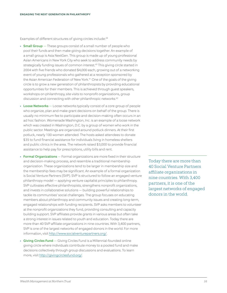Examples of different structures of giving circles include:<sup>39</sup>

- **Small Group** These groups consist of a small number of people who pool their funds and then make giving decisions together. An example of a small group is Asia NextGen. This group is made up of young professional Asian Americans in New York City who seek to address community needs by strategically funding issues of common interest.<sup>40</sup> This giving circle started in 2004 with five friends who donated \$4,000 each, growing out of a networking event of young professionals who gathered at a reception sponsored by the Asian American Federation of New York.<sup>41</sup> One of the goals of the giving circle is to grow a new generation of philanthropists by providing educational opportunities for their members. This is achieved through guest speakers, workshops on philanthropy, site visits to nonprofit organizations, group discussion and connecting with other philanthropic networks.<sup>42</sup>
- Loose Networks Loose networks typically consist of a core group of people who organize, plan and make grant decisions on behalf of the group. There is usually no minimum fee to participate and decision-making often occurs in an ad hoc fashion. Womenade Washington, Inc. is an example of a loose network which was created in Washington, D.C. by a group of women who work in the public sector. Meetings are organized around potluck dinners. At their first potluck, nearly 100 women attended. The hosts asked attendees to donate \$35 to fund financial assistance for individuals living in homeless shelters and public clinics in the area. The network raised \$3,000 to provide financial assistance to help pay for prescriptions, utility bills and rent.
- Formal Organizations Formal organizations are more fixed in their structure and decision-making process, and resemble a traditional membership organization. These organizations tend to be larger in membership size and the membership fees may be significant. An example of a formal organization is Social Venture Partners (SVP). SVP is structured to follow an engaged venture philanthropy model — applying venture capitalist principles to philanthropy. SVP cultivates effective philanthropists, strengthens nonprofit organizations, and invests in collaborative solutions — building powerful relationships to tackle its communities' social challenges. The group focuses on educating members about philanthropy and community issues and creating long-term, engaged relationships with funding recipients. SVP asks members to volunteer at the nonprofit organizations they fund, providing consulting and capacity building support. SVP affiliates provide grants in various areas but often take a strong interest in issues related to youth and education. Today there are more than 40 SVP affiliate organizations in nine countries. With 3,400 partners, SVP is one of the largest networks of engaged donors in the world. For more information, visit http://www.socialventurepartners.org/.
- Giving Circles Fund Giving Circles Fund is a Millennial-founded online giving circle where individuals contribute money to a pooled fund and make decisions collectively through group discussions and evaluations. To learn more, visit http://givingcirclesfund.org/.

Today there are more than 40 Social Venture Partners affiliate organizations in nine countries. With 3,400 partners, it is one of the largest networks of engaged donors in the world.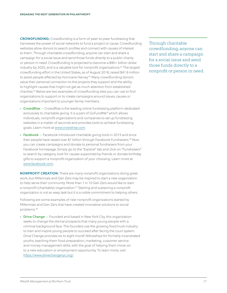CROWDFUNDING: Crowdfunding is a form of peer-to-peer fundraising that harnesses the power of social networks to fund a project or cause. Crowdfunding websites allow donors to search profiles and connect with causes of interest to them. Through charitable crowdfunding, anyone can start and share a campaign for a social issue and send those funds directly to a public charity or person in need. Crowdfunding is projected to become a \$90+ billion dollar industry by 2025, and is a valuable tool for nonprofit organizations.<sup>43</sup> The largest crowdfunding effort in the United States, as of August 2018, raised \$41.6 million to assist people affected by Hurricane Harvey.<sup>44</sup> Many crowdfunding donors value their personal connection to the projects they support and the ability to highlight causes that might not get as much attention from established charities.45 Below are two examples of crowdfunding sites you can use to find organizations to support or to create campaigns around issues, causes or organizations important to younger family members.

- CrowdRise CrowdRise is the leading online fundraising platform dedicated exclusively to charitable giving. It is a part of GoFundMe® which allows individuals, nonprofit organizations and companies to set up fundraising websites in a matter of seconds and provides tools to achieve fundraising goals. Learn more at www.crowdrise.com.
- Facebook Facebook introduced charitable giving tools in 2015 and since then people have raised over \$1 billion through Facebook Fundraisers.<sup>46</sup> Now you can create campaigns and donate to personal fundraisers from your Facebook homepage. Simply go to the "*Explore*" tab and click on "*Fundraisers*" to search by category, look for causes supported by friends or donate birthday gifts to support a nonprofit organization of your choosing. Learn more at www.facebook.com.

NONPROFIT CREATION: There are many nonprofit organizations doing great work, but Millennials and Gen Zers may be inspired to start a new organization to help serve their community. More than 1 in 10 Gen Zers would like to start a nonprofit (charitable) organization.<sup>47</sup> Starting and sustaining a nonprofit organization is not an easy task but it is a noble commitment to helping others.

Following are some examples of new nonprofit organizations started by Millennials and Gen Zers that have created innovative solutions to social problems.48

• Drive Change – Founded and based in New York City, this organization seeks to change the dismal prospects that many young people with a criminal background face. The founders use the growing food truck industry to train and inspire young people to succeed after facing the court system. Drive Change provides six to eight month fellowships for formerly incarcerated youths, teaching them food preparation, marketing, customer service and money management skills, with the goal of helping them move on to a new education or employment opportunity. To learn more, visit https://www.drivechangenyc.org/.

Through charitable crowdfunding, anyone can start and share a campaign for a social issue and send those funds directly to a nonprofit or person in need.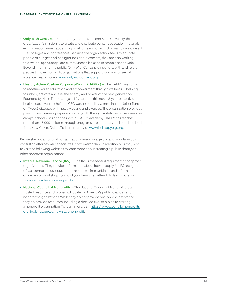- Only With Consent Founded by students at Penn State University, this organization's mission is to create and distribute consent education materials — information aimed at defining what it means for an individual to give consent — to colleges and conferences. Because the organization seeks to educate people of all ages and backgrounds about consent, they are also working to develop age appropriate curriculums to be used in schools nationwide. Beyond informing the public, Only With Consent joins efforts with and refers people to other nonprofit organizations that support survivors of sexual violence. Learn more at www.onlywithconsent.org.
- Healthy Active Positive Purposeful Youth (HAPPY) The HAPPY mission is to redefine youth education and empowerment through wellness — helping to unlock, activate and fuel the energy and power of the next generation. Founded by Haile Thomas at just 12 years old, this now 18-year-old activist, health coach, vegan chef and CEO was inspired by witnessing her father fight off Type 2 diabetes with healthy eating and exercise. The organization provides peer-to-peer learning experiences for youth through nutrition/culinary summer camps, school visits and their virtual HAPPY Academy. HAPPY has reached more than 15,000 children through programs in elementary and middle school from New York to Dubai. To learn more, visit www.thehappyorg.org.

Before starting a nonprofit organization we encourage you and your family to consult an attorney who specializes in tax-exempt law. In addition, you may wish to visit the following websites to learn more about creating a public charity or other nonprofit organization:

- Internal Revenue Service (IRS) The IRS is the federal regulator for nonprofit organizations. They provide information about how to apply for IRS recognition of tax exempt status, educational resources, free webinars and information on in-person workshops you and your family can attend. To learn more, visit www.irs.gov/charities-non-profits.
- National Council of Nonprofits —The National Council of Nonprofits is a trusted resource and proven advocate for America's public charities and nonprofit organizations. While they do not provide one-on-one assistance, they do provide resources including a detailed five-step plan to starting a nonprofit organization. To learn more, visit https://www.councilofnonprofits. org/tools-resources/how-start-nonprofit.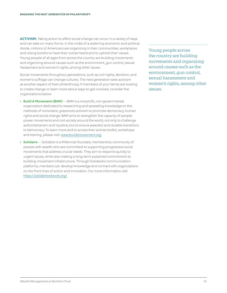ACTIVISM: Taking action to affect social change can occur in a variety of ways and can take on many forms. In the midst of a widening economic and political divide, millions of Americans are organizing in their communities, workplaces and voting booths to have their voices heard and to uphold their values. Young people of all ages from across the country are building movements and organizing around causes such as the environment, gun control, sexual harassment and women's rights, among other issues.

Social movements throughout generations, such as civil rights, abolition, and women's suffrage can change cultures. The next generation sees activism as another aspect of their philanthropy. If members of your family are looking to create change or learn more about ways to get involved, consider the organizations below:

- Build A Movement (BAM) BAM is a nonprofit, non-governmental organization dedicated to researching and spreading knowledge on the methods of nonviolent, grassroots activism to promote democracy, human rights and social change. BAM aims to strengthen the capacity of peoplepower movements and civil society around the world, not only to challenge authoritarianism and injustice, but to ensure peaceful and durable transitions to democracy. To learn more and to access their activist toolkit, workshops and training, please visit: www.buildamovement.org.
- Solidaire Solidaire is a Millennial-founded, membership community of people with wealth who are committed to supporting progressive social movements that address crucial needs. They aim to respond quickly to urgent issues, while also making a long-term sustained commitment to building movement infrastructure. Through Solidaire's communication platforms, members can develop knowledge and connect with organizations on the front lines of action and innovation. For more information visit https://solidairenetwork.org/.

Young people across the country are building movements and organizing around causes such as the environment, gun control, sexual harassment and women's rights, among other issues.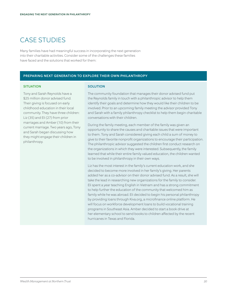# CASE STUDIES

Many families have had meaningful success in incorporating the next generation into their charitable activities. Consider some of the challenges these families have faced and the solutions that worked for them:

# PREPARING NEXT GENERATION TO EXPLORE THEIR OWN PHILANTHROPY

### **SITUATION**

Tony and Sarah Reynolds have a \$25 million donor advised fund. Their giving is focused on early childhood education in their local community. They have three children: Liz (35) and Eli (27) from prior marriages and Amber (10) from their current marriage. Two years ago, Tony and Sarah began discussing how they might engage their children in philanthropy.

# **SOLUTION**

The community foundation that manages their donor advised fund put the Reynolds family in touch with a philanthropic advisor to help them identify their goals and determine how they would like their children to be involved. Prior to an upcoming family meeting the advisor provided Tony and Sarah with a family philanthropy checklist to help them begin charitable conversations with their children.

During the family meeting, each member of the family was given an opportunity to share the causes and charitable issues that were important to them. Tony and Sarah considered giving each child a sum of money to give to their favorite nonprofit organizations to encourage their participation. The philanthropic advisor suggested the children first conduct research on the organizations in which they were interested. Subsequently, the family learned that while their entire family valued education, the children wanted to be involved in philanthropy in their own ways.

Liz has the most interest in the family's current education work, and she decided to become more involved in her family's giving. Her parents added her as a co-advisor on their donor advised fund. As a result, she will take the lead in researching new organizations for the family to consider. Eli spent a year teaching English in Vietnam and has a strong commitment to help further the education of the community that welcomed him as family while he was abroad. Eli decided to begin his personal philanthropy by providing loans through Kiva.org, a microfinance online platform. He will focus on workforce development loans to build vocational training programs in Southeast Asia. Amber decided to start a book drive at her elementary school to send books to children affected by the recent hurricanes in Texas and Florida.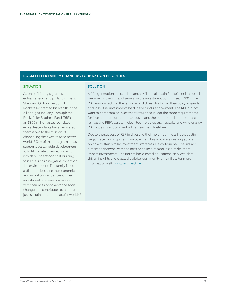# ROCKEFELLER FAMILY: CHANGING FOUNDATION PRIORITIES

### **SITUATION**

As one of history's greatest entrepreneurs and philanthropists, Standard Oil founder John D. Rockefeller created his wealth in the oil and gas industry. Through the Rockefeller Brothers Fund (RBF) an \$866 million asset foundation — his descendants have dedicated themselves to the mission of channeling their wealth for a better world.49 One of their program areas supports sustainable development to fight climate change. Today, it is widely understood that burning fossil fuels has a negative impact on the environment. The family faced a dilemma because the economic and moral consequences of their investments were incompatible with their mission to advance social change that contributes to a more just, sustainable, and peaceful world.<sup>50</sup>

### **SOLUTION**

A fifth generation descendant and a Millennial, Justin Rockefeller is a board member of the RBF and serves on the investment committee. In 2014, the RBF announced that the family would divest itself of all their coal, tar-sands and fossil fuel investments held in the fund's endowment. The RBF did not want to compromise investment returns so it kept the same requirements for investment returns and risk. Justin and the other board members are reinvesting RBF's assets in clean technologies such as solar and wind energy. RBF hopes its endowment will remain fossil fuel-free.

Due to the success of RBF in divesting their holdings in fossil fuels, Justin began receiving inquiries from other families who were seeking advice on how to start similar investment strategies. He co-founded The ImPact, a member network with the mission to inspire families to make more impact investments. The ImPact has curated educational services, data driven insights and created a global community of families. For more information visit www.theimpact.org.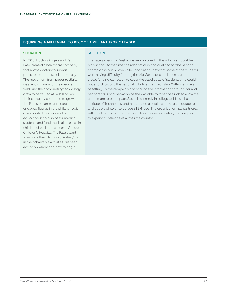# EQUIPPING A MILLENNIAL TO BECOME A PHILANTHROPIC LEADER

# **SITUATION**

In 2016, Doctors Angela and Raj Patel created a healthcare company that allows doctors to submit prescription requests electronically. The movement from paper to digital was revolutionary for the medical field, and their proprietary technology grew to be valued at \$2 billion. As their company continued to grow, the Patels became respected and engaged figures in the philanthropic community. They now endow education scholarships for medical students and fund medical research in childhood pediatric cancer at St. Jude Children's Hospital. The Patels want to include their daughter, Sasha (17), in their charitable activities but need advice on where and how to begin.

### **SOLUTION**

The Patels knew that Sasha was very involved in the robotics club at her high school. At the time, the robotics club had qualified for the national championship in Silicon Valley, and Sasha knew that some of the students were having difficulty funding the trip. Sasha decided to create a crowdfunding campaign to cover the travel costs of students who could not afford to go to the national robotics championship. Within ten days of setting up the campaign and sharing the information through her and her parents' social networks, Sasha was able to raise the funds to allow the entire team to participate. Sasha is currently in college at Massachusetts Institute of Technology and has created a public charity to encourage girls and people of color to pursue STEM jobs. The organization has partnered with local high school students and companies in Boston, and she plans to expand to other cities across the country.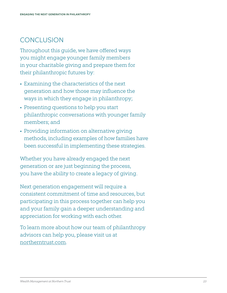# **CONCLUSION**

Throughout this guide, we have offered ways you might engage younger family members in your charitable giving and prepare them for their philanthropic futures by:

- Examining the characteristics of the next generation and how those may influence the ways in which they engage in philanthropy;
- Presenting questions to help you start philanthropic conversations with younger family members; and
- Providing information on alternative giving methods, including examples of how families have been successful in implementing these strategies.

Whether you have already engaged the next generation or are just beginning the process, you have the ability to create a legacy of giving.

Next generation engagement will require a consistent commitment of time and resources, but participating in this process together can help you and your family gain a deeper understanding and appreciation for working with each other.

To learn more about how our team of philanthropy advisors can help you, please visit us at northerntrust.com.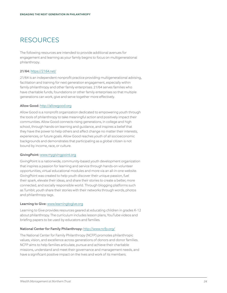# RESOURCES

The following resources are intended to provide additional avenues for engagement and learning as your family begins to focus on multigenerational philanthropy.

# 21/64: https://2164.net/

21/64 is an independent nonprofit practice providing multigenerational advising, facilitation and training for next generation engagement, especially within family philanthropy and other family enterprises. 21/64 serves families who have charitable funds, foundations or other family enterprises so that multiple generations can work, give and serve together more effectively.

# Allow Good: http://allowgood.org

Allow Good is a nonprofit organization dedicated to empowering youth through the tools of philanthropy to take meaningful action and positively impact their communities. Allow Good connects rising generations, in college and high school, through hands-on learning and guidance, and inspires a belief that they have the power to help others and affect change no matter their interests, experiences, or future goals. Allow Good reaches youth of all socioeconomic backgrounds and demonstrates that participating as a global citizen is not bound by income, race, or culture.

### GivingPoint: www.mygivingpoint.org

GivingPoint is a nationwide, community-based youth development organization that inspires a passion for learning and service through hands-on volunteer opportunities, virtual educational modules and more via an all-in-one website. GivingPoint was created to help youth discover their unique passion, fuel their spark, elevate their ideas, and share their stories to create a better, more connected, and socially responsible world. Through blogging platforms such as Tumblr, youth share their stories with their networks through words, photos and philanthropy tags.

### Learning to Give: www.learningtogive.org

Learning to Give provides resources geared at educating children in grades K-12 about philanthropy. The curriculum includes lesson plans, YouTube videos and briefing papers to be used by educators and families.

### National Center for Family Philanthropy: http://www.ncfp.org/

The National Center for Family Philanthropy (NCFP) promotes philanthropic values, vision, and excellence across generations of donors and donor families. NCFP aims to help families articulate, pursue and achieve their charitable missions, understand and meet their governance and management needs, and have a significant positive impact on the lives and work of its members.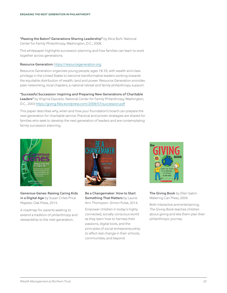"Passing the Baton? Generations Sharing Leadership" by Alice Buhl. National Center for Family Philanthropy, Washington, D.C., 2008.

This whitepaper highlights succession planning and how families can learn to work together across generations.

### Resource Generation: https://resourcegeneration.org

Resource Generation organizes young people, ages 18-35, with wealth and class privilege in the United States to become transformative leaders working towards the equitable distribution of wealth, land and power. Resource Generation provides peer networking, local chapters, a national retreat and family philanthropy support.

"Successful Succession: Inspiring and Preparing New Generations of Charitable Leaders" by Virginia Esposito. National Center for Family Philanthropy, Washington, D.C., 2003 https://giving.files.wordpress.com/2009/07/succession.pdf

This paper describes why, when and how your foundation's board can prepare the next generation for charitable service. Practical and proven strategies are shared for families who seek to develop the next generation of leaders and are contemplating family succession planning.



Generous Genes: Raising Caring Kids in a Digital Age by Susan Crites Price. Majestic Oak Press, 2015.

A roadmap for parents seeking to extend a tradition of philanthropy and stewardship to the next generation.



Be a Changemaker: How to Start Something That Matters by Laurie Ann Thompson. Simon Pulse, 2014.

Empower children in today's highly connected, socially conscious world as they learn how to harness their passions, digital tools, and the principles of social entrepreneurship to affect real change in their schools, communities, and beyond.



The Giving Book by Ellen Sabin. Watering Can Press, 2004.

Both interactive and entertaining, *The Giving Book* teaches children about giving and lets them plan their philanthropic journey.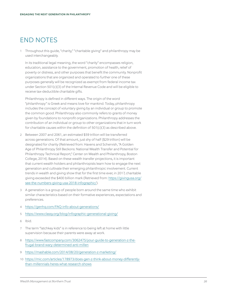# END NOTES

1 Throughout this guide, "charity," "charitable giving" and philanthropy may be used interchangeably.

In its traditional legal meaning, the word "charity" encompasses religion, education, assistance to the government, promotion of health, relief of poverty or distress, and other purposes that benefit the community. Nonprofit organizations that are organized and operated to further one of these purposes generally will be recognized as exempt from federal income tax under Section 501(c)(3) of the Internal Revenue Code and will be eligible to receive tax-deductible charitable gifts.

 Philanthropy is defined in different ways. The origin of the word "philanthropy" is Greek and means love for mankind. Today, philanthropy includes the concept of voluntary giving by an individual or group to promote the common good. Philanthropy also commonly refers to grants of money given by foundations to nonprofit organizations. Philanthropy addresses the contribution of an individual or group to other organizations that in turn work for charitable causes within the definition of 501(c)(3) as described above.

- 2 Between 2007 and 2061, an estimated \$59 trillion will be transferred across generations. Of that amount, just shy of half (\$29 trillion) will be designated for charity (Retrieved from: Havens and Schervish, "A Golden Age of Philanthropy Still Beckons: National Wealth Transfer and Potential for Philanthropy Technical Report," Center on Wealth and Philanthropy, Boston College, 2014). Based on these wealth transfer projections, it is important that current wealth holders and philanthropists learn how to engage the next generation and cultivate their emerging philanthropic involvement. Current trends in wealth and giving show that for the first time ever, in 2017, charitable giving exceeded the \$400 billion mark (Retrieved from: https://givingusa.org/ see-the-numbers-giving-usa-2018-infographic/).
- 3 A generation is a group of people born around the same time who exhibit similar characteristics based on their formative experiences, expectations and preferences.
- 4 https://genhq.com/FAQ-info-about-generations/
- 5 https://www.classy.org/blog/infographic-generational-giving/
- 6 Ibid.
- 7 The term "latchkey kids" is in reference to being left at home with little supervision because their parents were away at work.
- 8 https://www.fastcompany.com/3062475/your-guide-to-generation-z-thefrugal-brand-wary-determined-anti-millen
- 9 https://mashable.com/2014/08/20/generation-z-marketing/
- 10 https://mic.com/articles/178973/does-gen-z-think-about-money-differentlythan-millennials-heres-what-research-shows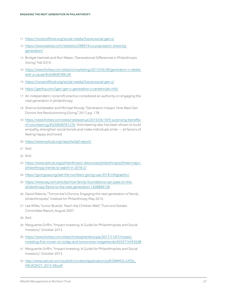- 11 https://nonprofithub.org/social-media/future-social-gen-z/
- 12 https://www.statista.com/statistics/296974/us-population-share-bygeneration/
- 13 Bridget Hartnett and Ron Matan, "Generational Differences in Philanthropic Giving," Fall 2014.
- 14 https://www.forbes.com/sites/onmarketing/2013/05/28/generation-z-rebelswith-a-cause/#c6d6b8769c28
- 15 https://nonprofithub.org/social-media/future-social-gen-z/
- 16 https://genhq.com/igen-gen-z-generation-z-centennials-info/
- 17 An independent, nonprofit practice considered an authority on engaging the next generation in philanthropy.
- 18 Sharna Goldseeker and Michael Moody, "Generation Impact: How Next Gen Donors Are Revolutionizing Giving," 2017, pg. 178.
- 19 https://www.forbes.com/sites/nextavenue/2015/03/19/5-surprising-benefitsof-volunteering/#3206d976127b Volunteering also has been shown to build empathy, strengthen social bonds and make individuals smile — all factors of feeling happy and loved.
- 20 https://www.nptrust.org/reports/daf-report/
- 21 Ibid.
- 22 Ibid.
- 23 https://www.nptrust.org/philanthropic-resources/philanthropist/three-majorphilanthropy-trends-to-watch-in-2018-2/
- 24 https://givingusa.org/see-the-numbers-giving-usa-2018-infographic/
- 25 https://www.wsj.com/articles/how-family-foundations-can-pass-on-thephilanthropy-flame-to-the-next-generation-1428894136
- 26 David Malone, "Tomorrow's Donors; Engaging the next generation of family philanthropists," Institute for Philanthropy, May 2010.
- 27 Lee Miller, "Junior Boards: Teach the Children Well," *Trust and Estates* Committee Report, August 2007.
- 28 Ibid.
- 29 Marguerite Griffin, "Impact Investing: A Guide for Philanthropists and Social Investors," October 2013.
- 30 https://www.forbes.com/sites/christopherskroupa/2017/11/07/impactinvesting-first-mover-on-today-and-tomorrows-megatrends/#20371bf435d8
- 31 Marguerite Griffin, "Impact Investing: A Guide for Philanthropists and Social Investors," October 2013.
- 32 http://www.ustrust.com/publish/content/application/pdf/GWMOL/USTp\_ ARL8QSQ7\_2015-09.pdf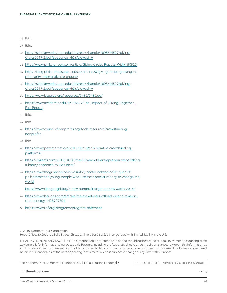- 33 Ibid.
- 34 Ibid.
- 35 https://scholarworks.iupui.edu/bitstream/handle/1805/14527/givingcircles2017-2.pdf?sequence=4&isAllowed=y
- 36 https://www.philanthropy.com/article/Giving-Circles-Popular-With/150525
- 37 https://blog.philanthropy.iupui.edu/2017/11/30/giving-circles-growing-inpopularity-among-diverse-groups/
- 38 https://scholarworks.iupui.edu/bitstream/handle/1805/14527/givingcircles2017-2.pdf?sequence=4&isAllowed=y
- 39 https://www.issuelab.org/resources/9459/9459.pdf
- 40 https://www.academia.edu/12175637/The\_Impact\_of\_Giving\_Together\_ Full\_Report
- 41 Ibid.
- 42 Ibid.
- 43 https://www.councilofnonprofits.org/tools-resources/crowdfundingnonprofits
- 44 Ibid.
- 45 https://www.pewinternet.org/2016/05/19/collaborative-crowdfundingplatforms/
- 46 https://civileats.com/2019/04/01/the-18-year-old-entrepreneur-whos-takinga-happy-approach-to-kids-diets/
- 47 https://www.theguardian.com/voluntary-sector-network/2015/jun/19/ philanthroteens-young-people-who-use-their-pocket-money-to-change-theworld
- 48 https://www.classy.org/blog/7-new-nonprofit-organizations-watch-2016/
- 49 https://www.barrons.com/articles/the-rockefellers-offload-oil-and-take-onclean-energy-1428727791
- 50 https://www.rbf.org/programs/program-statement

© 2019, Northern Trust Corporation.

Head Office: 50 South La Salle Street, Chicago, Illinois 60603 U.S.A. Incorporated with limited liability in the U.S.

LEGAL, INVESTMENT AND TAX NOTICE: This information is not intended to be and should not be treated as legal, investment, accounting or tax advice and is for informational purposes only. Readers, including professionals, should under no circumstances rely upon this information as a substitute for their own research or for obtaining specific legal, accounting or tax advice from their own counsel. All information discussed herein is current only as of the date appearing in this material and is subject to change at any time without notice.

The Northern Trust Company | Member FDIC | Equal Housing Lender **G** NOT FDIC INSURED May lose value / No bank guarantee

| northerntrust.com | 7/19 |  |
|-------------------|------|--|
|                   |      |  |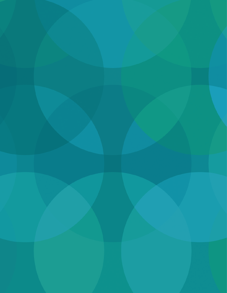